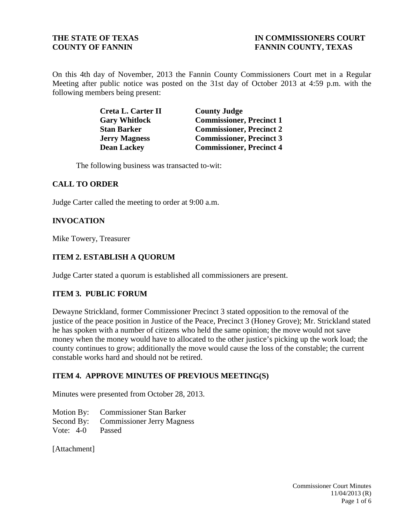## **THE STATE OF TEXAS IN COMMISSIONERS COURT COUNTY OF FANNIN FANNIN FANNIN COUNTY, TEXAS**

On this 4th day of November, 2013 the Fannin County Commissioners Court met in a Regular Meeting after public notice was posted on the 31st day of October 2013 at 4:59 p.m. with the following members being present:

| Creta L. Carter II   | <b>County Judge</b>             |
|----------------------|---------------------------------|
| <b>Gary Whitlock</b> | <b>Commissioner, Precinct 1</b> |
| <b>Stan Barker</b>   | <b>Commissioner, Precinct 2</b> |
| <b>Jerry Magness</b> | <b>Commissioner, Precinct 3</b> |
| <b>Dean Lackey</b>   | <b>Commissioner, Precinct 4</b> |

The following business was transacted to-wit:

### **CALL TO ORDER**

Judge Carter called the meeting to order at 9:00 a.m.

### **INVOCATION**

Mike Towery, Treasurer

### **ITEM 2. ESTABLISH A QUORUM**

Judge Carter stated a quorum is established all commissioners are present.

#### **ITEM 3. PUBLIC FORUM**

Dewayne Strickland, former Commissioner Precinct 3 stated opposition to the removal of the justice of the peace position in Justice of the Peace, Precinct 3 (Honey Grove); Mr. Strickland stated he has spoken with a number of citizens who held the same opinion; the move would not save money when the money would have to allocated to the other justice's picking up the work load; the county continues to grow; additionally the move would cause the loss of the constable; the current constable works hard and should not be retired.

#### **ITEM 4. APPROVE MINUTES OF PREVIOUS MEETING(S)**

Minutes were presented from October 28, 2013.

Motion By: Commissioner Stan Barker Second By: Commissioner Jerry Magness Vote: 4-0 Passed

[Attachment]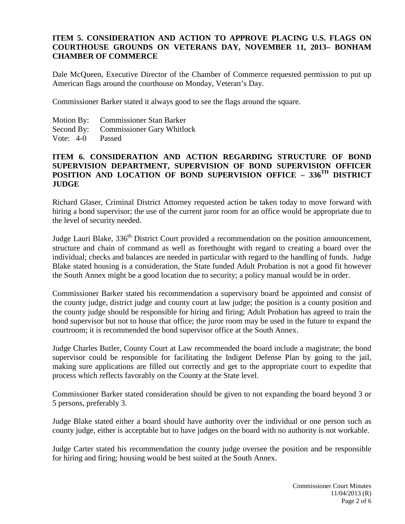## **ITEM 5. CONSIDERATION AND ACTION TO APPROVE PLACING U.S. FLAGS ON COURTHOUSE GROUNDS ON VETERANS DAY, NOVEMBER 11, 2013– BONHAM CHAMBER OF COMMERCE**

Dale McQueen, Executive Director of the Chamber of Commerce requested permission to put up American flags around the courthouse on Monday, Veteran's Day.

Commissioner Barker stated it always good to see the flags around the square.

- Motion By: Commissioner Stan Barker
- Second By: Commissioner Gary Whitlock
- Vote: 4-0 Passed

## **ITEM 6. CONSIDERATION AND ACTION REGARDING STRUCTURE OF BOND SUPERVISION DEPARTMENT, SUPERVISION OF BOND SUPERVISION OFFICER POSITION AND LOCATION OF BOND SUPERVISION OFFICE – 336<sup>TH</sup> DISTRICT JUDGE**

Richard Glaser, Criminal District Attorney requested action be taken today to move forward with hiring a bond supervisor; the use of the current juror room for an office would be appropriate due to the level of security needed.

Judge Lauri Blake, 336<sup>th</sup> District Court provided a recommendation on the position announcement, structure and chain of command as well as forethought with regard to creating a board over the individual; checks and balances are needed in particular with regard to the handling of funds. Judge Blake stated housing is a consideration, the State funded Adult Probation is not a good fit however the South Annex might be a good location due to security; a policy manual would be in order.

Commissioner Barker stated his recommendation a supervisory board be appointed and consist of the county judge, district judge and county court at law judge; the position is a county position and the county judge should be responsible for hiring and firing; Adult Probation has agreed to train the bond supervisor but not to house that office; the juror room may be used in the future to expand the courtroom; it is recommended the bond supervisor office at the South Annex.

Judge Charles Butler, County Court at Law recommended the board include a magistrate; the bond supervisor could be responsible for facilitating the Indigent Defense Plan by going to the jail, making sure applications are filled out correctly and get to the appropriate court to expedite that process which reflects favorably on the County at the State level.

Commissioner Barker stated consideration should be given to not expanding the board beyond 3 or 5 persons, preferably 3.

Judge Blake stated either a board should have authority over the individual or one person such as county judge, either is acceptable but to have judges on the board with no authority is not workable.

Judge Carter stated his recommendation the county judge oversee the position and be responsible for hiring and firing; housing would be best suited at the South Annex.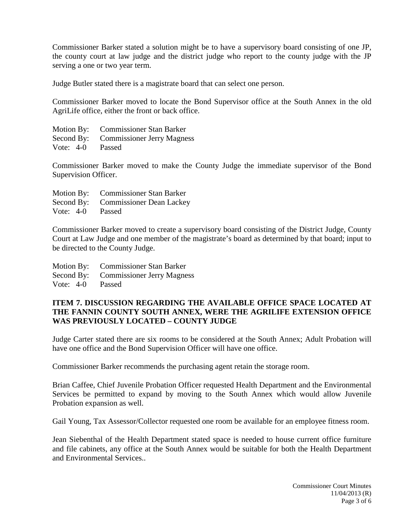Commissioner Barker stated a solution might be to have a supervisory board consisting of one JP, the county court at law judge and the district judge who report to the county judge with the JP serving a one or two year term.

Judge Butler stated there is a magistrate board that can select one person.

Commissioner Barker moved to locate the Bond Supervisor office at the South Annex in the old AgriLife office, either the front or back office.

Motion By: Commissioner Stan Barker Second By: Commissioner Jerry Magness Vote: 4-0 Passed

Commissioner Barker moved to make the County Judge the immediate supervisor of the Bond Supervision Officer.

|                  | Motion By: Commissioner Stan Barker |
|------------------|-------------------------------------|
|                  | Second By: Commissioner Dean Lackey |
| Vote: 4-0 Passed |                                     |

Commissioner Barker moved to create a supervisory board consisting of the District Judge, County Court at Law Judge and one member of the magistrate's board as determined by that board; input to be directed to the County Judge.

|                  | Motion By: Commissioner Stan Barker   |
|------------------|---------------------------------------|
|                  | Second By: Commissioner Jerry Magness |
| Vote: 4-0 Passed |                                       |

### **ITEM 7. DISCUSSION REGARDING THE AVAILABLE OFFICE SPACE LOCATED AT THE FANNIN COUNTY SOUTH ANNEX, WERE THE AGRILIFE EXTENSION OFFICE WAS PREVIOUSLY LOCATED – COUNTY JUDGE**

Judge Carter stated there are six rooms to be considered at the South Annex; Adult Probation will have one office and the Bond Supervision Officer will have one office.

Commissioner Barker recommends the purchasing agent retain the storage room.

Brian Caffee, Chief Juvenile Probation Officer requested Health Department and the Environmental Services be permitted to expand by moving to the South Annex which would allow Juvenile Probation expansion as well.

Gail Young, Tax Assessor/Collector requested one room be available for an employee fitness room.

Jean Siebenthal of the Health Department stated space is needed to house current office furniture and file cabinets, any office at the South Annex would be suitable for both the Health Department and Environmental Services..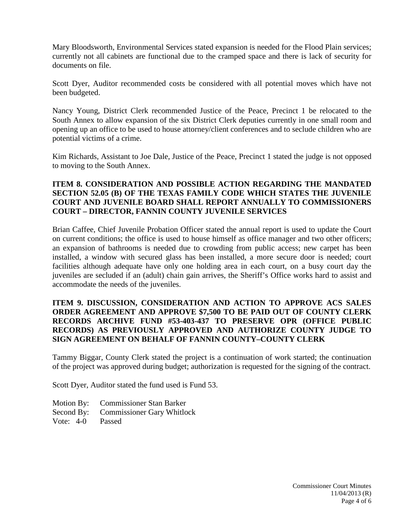Mary Bloodsworth, Environmental Services stated expansion is needed for the Flood Plain services; currently not all cabinets are functional due to the cramped space and there is lack of security for documents on file.

Scott Dyer, Auditor recommended costs be considered with all potential moves which have not been budgeted.

Nancy Young, District Clerk recommended Justice of the Peace, Precinct 1 be relocated to the South Annex to allow expansion of the six District Clerk deputies currently in one small room and opening up an office to be used to house attorney/client conferences and to seclude children who are potential victims of a crime.

Kim Richards, Assistant to Joe Dale, Justice of the Peace, Precinct 1 stated the judge is not opposed to moving to the South Annex.

## **ITEM 8. CONSIDERATION AND POSSIBLE ACTION REGARDING THE MANDATED SECTION 52.05 (B) OF THE TEXAS FAMILY CODE WHICH STATES THE JUVENILE COURT AND JUVENILE BOARD SHALL REPORT ANNUALLY TO COMMISSIONERS COURT – DIRECTOR, FANNIN COUNTY JUVENILE SERVICES**

Brian Caffee, Chief Juvenile Probation Officer stated the annual report is used to update the Court on current conditions; the office is used to house himself as office manager and two other officers; an expansion of bathrooms is needed due to crowding from public access; new carpet has been installed, a window with secured glass has been installed, a more secure door is needed; court facilities although adequate have only one holding area in each court, on a busy court day the juveniles are secluded if an (adult) chain gain arrives, the Sheriff's Office works hard to assist and accommodate the needs of the juveniles.

## **ITEM 9. DISCUSSION, CONSIDERATION AND ACTION TO APPROVE ACS SALES ORDER AGREEMENT AND APPROVE \$7,500 TO BE PAID OUT OF COUNTY CLERK RECORDS ARCHIVE FUND #53-403-437 TO PRESERVE OPR (OFFICE PUBLIC RECORDS) AS PREVIOUSLY APPROVED AND AUTHORIZE COUNTY JUDGE TO SIGN AGREEMENT ON BEHALF OF FANNIN COUNTY–COUNTY CLERK**

Tammy Biggar, County Clerk stated the project is a continuation of work started; the continuation of the project was approved during budget; authorization is requested for the signing of the contract.

Scott Dyer, Auditor stated the fund used is Fund 53.

- Motion By: Commissioner Stan Barker
- Second By: Commissioner Gary Whitlock
- Vote: 4-0 Passed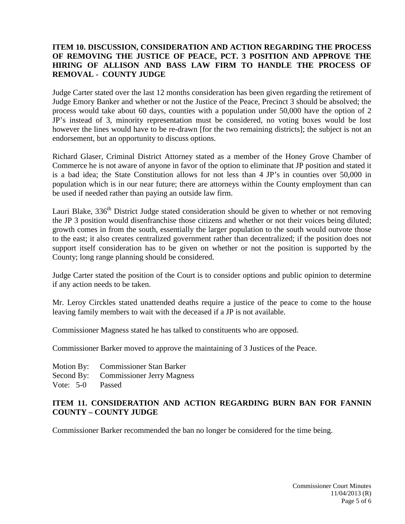## **ITEM 10. DISCUSSION, CONSIDERATION AND ACTION REGARDING THE PROCESS OF REMOVING THE JUSTICE OF PEACE, PCT. 3 POSITION AND APPROVE THE HIRING OF ALLISON AND BASS LAW FIRM TO HANDLE THE PROCESS OF REMOVAL - COUNTY JUDGE**

Judge Carter stated over the last 12 months consideration has been given regarding the retirement of Judge Emory Banker and whether or not the Justice of the Peace, Precinct 3 should be absolved; the process would take about 60 days, counties with a population under 50,000 have the option of 2 JP's instead of 3, minority representation must be considered, no voting boxes would be lost however the lines would have to be re-drawn [for the two remaining districts]; the subject is not an endorsement, but an opportunity to discuss options.

Richard Glaser, Criminal District Attorney stated as a member of the Honey Grove Chamber of Commerce he is not aware of anyone in favor of the option to eliminate that JP position and stated it is a bad idea; the State Constitution allows for not less than 4 JP's in counties over 50,000 in population which is in our near future; there are attorneys within the County employment than can be used if needed rather than paying an outside law firm.

Lauri Blake, 336<sup>th</sup> District Judge stated consideration should be given to whether or not removing the JP 3 position would disenfranchise those citizens and whether or not their voices being diluted; growth comes in from the south, essentially the larger population to the south would outvote those to the east; it also creates centralized government rather than decentralized; if the position does not support itself consideration has to be given on whether or not the position is supported by the County; long range planning should be considered.

Judge Carter stated the position of the Court is to consider options and public opinion to determine if any action needs to be taken.

Mr. Leroy Circkles stated unattended deaths require a justice of the peace to come to the house leaving family members to wait with the deceased if a JP is not available.

Commissioner Magness stated he has talked to constituents who are opposed.

Commissioner Barker moved to approve the maintaining of 3 Justices of the Peace.

Motion By: Commissioner Stan Barker Second By: Commissioner Jerry Magness Vote: 5-0 Passed

### **ITEM 11. CONSIDERATION AND ACTION REGARDING BURN BAN FOR FANNIN COUNTY – COUNTY JUDGE**

Commissioner Barker recommended the ban no longer be considered for the time being.